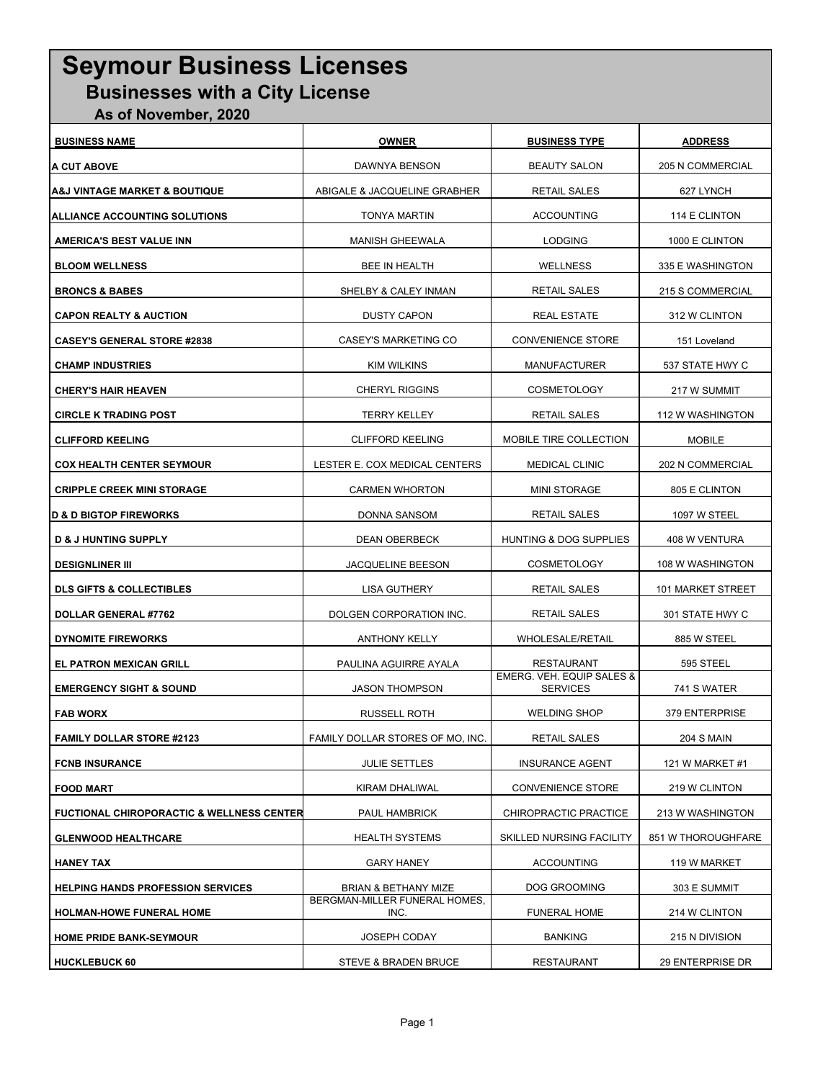## SEYMOUR BUSINESS'S **Seymour Business Licenses Businesses with a City License**

 **As of November, 2020**

| <b>BUSINESS NAME</b>                                 | <b>OWNER</b>                          | <b>BUSINESS TYPE</b>                                    | <b>ADDRESS</b>          |
|------------------------------------------------------|---------------------------------------|---------------------------------------------------------|-------------------------|
| A CUT ABOVE                                          | DAWNYA BENSON                         | <b>BEAUTY SALON</b>                                     | <b>205 N COMMERCIAL</b> |
| A&J VINTAGE MARKET & BOUTIQUE                        | ABIGALE & JACQUELINE GRABHER          | <b>RETAIL SALES</b>                                     | 627 LYNCH               |
| ALLIANCE ACCOUNTING SOLUTIONS                        | <b>TONYA MARTIN</b>                   | <b>ACCOUNTING</b>                                       | 114 E CLINTON           |
| <b>AMERICA'S BEST VALUE INN</b>                      | <b>MANISH GHEEWALA</b>                | <b>LODGING</b>                                          | 1000 E CLINTON          |
| <b>BLOOM WELLNESS</b>                                | BEE IN HEALTH                         | <b>WELLNESS</b>                                         | 335 E WASHINGTON        |
| <b>BRONCS &amp; BABES</b>                            | SHELBY & CALEY INMAN                  | <b>RETAIL SALES</b>                                     | 215 S COMMERCIAL        |
| <b>CAPON REALTY &amp; AUCTION</b>                    | <b>DUSTY CAPON</b>                    | <b>REAL ESTATE</b>                                      | 312 W CLINTON           |
| <b>CASEY'S GENERAL STORE #2838</b>                   | CASEY'S MARKETING CO                  | <b>CONVENIENCE STORE</b>                                | 151 Loveland            |
| <b>CHAMP INDUSTRIES</b>                              | KIM WILKINS                           | MANUFACTURER                                            | 537 STATE HWY C         |
| <b>CHERY'S HAIR HEAVEN</b>                           | <b>CHERYL RIGGINS</b>                 | COSMETOLOGY                                             | 217 W SUMMIT            |
| <b>CIRCLE K TRADING POST</b>                         | <b>TERRY KELLEY</b>                   | <b>RETAIL SALES</b>                                     | 112 W WASHINGTON        |
| <b>CLIFFORD KEELING</b>                              | <b>CLIFFORD KEELING</b>               | MOBILE TIRE COLLECTION                                  | <b>MOBILE</b>           |
| <b>COX HEALTH CENTER SEYMOUR</b>                     | LESTER E. COX MEDICAL CENTERS         | <b>MEDICAL CLINIC</b>                                   | 202 N COMMERCIAL        |
| <b>CRIPPLE CREEK MINI STORAGE</b>                    | <b>CARMEN WHORTON</b>                 | <b>MINI STORAGE</b>                                     | 805 E CLINTON           |
| <b>D &amp; D BIGTOP FIREWORKS</b>                    | DONNA SANSOM                          | <b>RETAIL SALES</b>                                     | 1097 W STEEL            |
| <b>D &amp; J HUNTING SUPPLY</b>                      | <b>DEAN OBERBECK</b>                  | HUNTING & DOG SUPPLIES                                  | 408 W VENTURA           |
| <b>DESIGNLINER III</b>                               | <b>JACQUELINE BEESON</b>              | <b>COSMETOLOGY</b>                                      | 108 W WASHINGTON        |
| <b>DLS GIFTS &amp; COLLECTIBLES</b>                  | LISA GUTHERY                          | <b>RETAIL SALES</b>                                     | 101 MARKET STREET       |
| DOLLAR GENERAL #7762                                 | DOLGEN CORPORATION INC.               | RETAIL SALES                                            | 301 STATE HWY C         |
| <b>DYNOMITE FIREWORKS</b>                            | <b>ANTHONY KELLY</b>                  | WHOLESALE/RETAIL                                        | 885 W STEEL             |
| <b>EL PATRON MEXICAN GRILL</b>                       | PAULINA AGUIRRE AYALA                 | RESTAURANT                                              | 595 STEEL               |
| <b>EMERGENCY SIGHT &amp; SOUND</b>                   | <b>JASON THOMPSON</b>                 | <b>EMERG. VEH. EQUIP SALES &amp;</b><br><b>SERVICES</b> | 741 S WATER             |
| <b>FAB WORX</b>                                      | <b>RUSSELL ROTH</b>                   | <b>WELDING SHOP</b>                                     | 379 ENTERPRISE          |
| <b>FAMILY DOLLAR STORE #2123</b>                     | FAMILY DOLLAR STORES OF MO, INC.      | RETAIL SALES                                            | <b>204 S MAIN</b>       |
| <b>FCNB INSURANCE</b>                                | <b>JULIE SETTLES</b>                  | <b>INSURANCE AGENT</b>                                  | 121 W MARKET #1         |
| <b>FOOD MART</b>                                     | KIRAM DHALIWAL                        | <b>CONVENIENCE STORE</b>                                | 219 W CLINTON           |
| <b>FUCTIONAL CHIROPORACTIC &amp; WELLNESS CENTER</b> | PAUL HAMBRICK                         | CHIROPRACTIC PRACTICE                                   | 213 W WASHINGTON        |
| <b>GLENWOOD HEALTHCARE</b>                           | <b>HEALTH SYSTEMS</b>                 | <b>SKILLED NURSING FACILITY</b>                         | 851 W THOROUGHFARE      |
| <b>HANEY TAX</b>                                     | <b>GARY HANEY</b>                     | <b>ACCOUNTING</b>                                       | 119 W MARKET            |
| <b>HELPING HANDS PROFESSION SERVICES</b>             | BRIAN & BETHANY MIZE                  | DOG GROOMING                                            | 303 E SUMMIT            |
| HOLMAN-HOWE FUNERAL HOME                             | BERGMAN-MILLER FUNERAL HOMES,<br>INC. | <b>FUNERAL HOME</b>                                     | 214 W CLINTON           |
| <b>HOME PRIDE BANK-SEYMOUR</b>                       | <b>JOSEPH CODAY</b>                   | <b>BANKING</b>                                          | 215 N DIVISION          |
| <b>HUCKLEBUCK 60</b>                                 | STEVE & BRADEN BRUCE                  | <b>RESTAURANT</b>                                       | 29 ENTERPRISE DR        |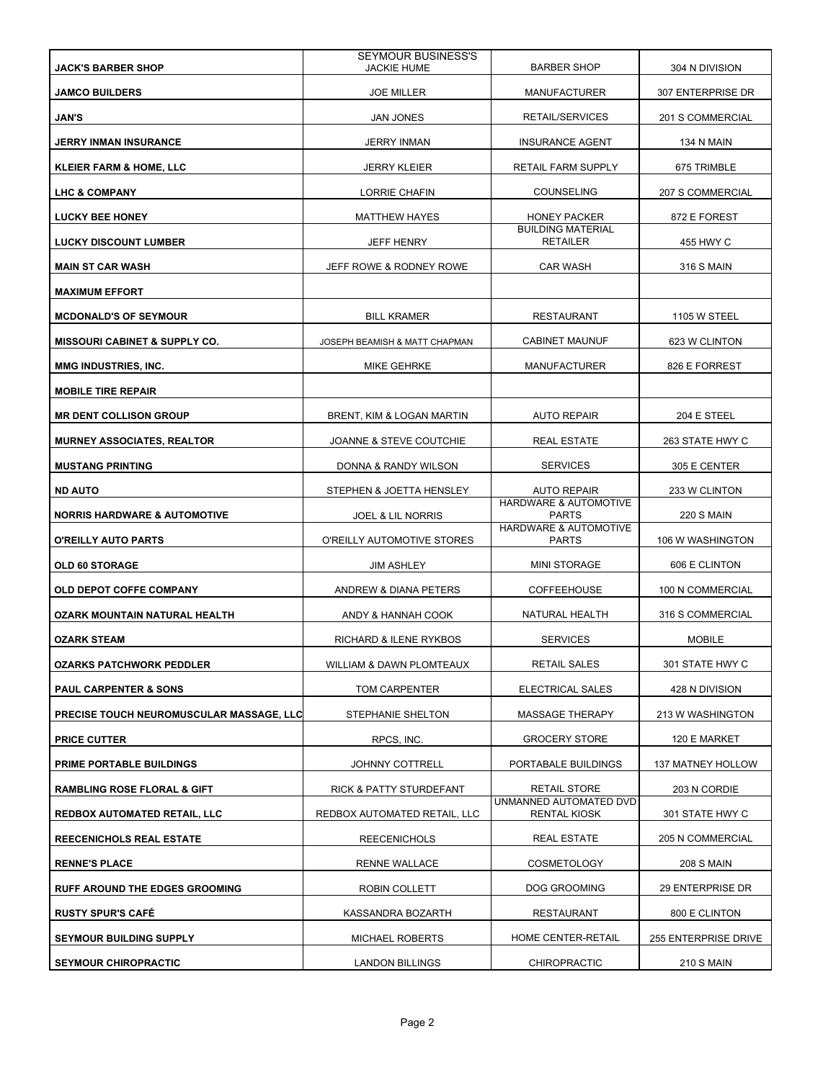| <b>JACK'S BARBER SHOP</b>                | <b>SEYMOUR BUSINESS'S</b><br><b>JACKIE HUME</b> | <b>BARBER SHOP</b>                            | 304 N DIVISION       |
|------------------------------------------|-------------------------------------------------|-----------------------------------------------|----------------------|
| <b>JAMCO BUILDERS</b>                    | <b>JOE MILLER</b>                               | <b>MANUFACTURER</b>                           | 307 ENTERPRISE DR    |
| JAN'S                                    | <b>JAN JONES</b>                                | RETAIL/SERVICES                               | 201 S COMMERCIAL     |
| <b>JERRY INMAN INSURANCE</b>             | <b>JERRY INMAN</b>                              | <b>INSURANCE AGENT</b>                        | 134 N MAIN           |
| <b>KLEIER FARM &amp; HOME, LLC</b>       | <b>JERRY KLEIER</b>                             | RETAIL FARM SUPPLY                            | 675 TRIMBLE          |
| LHC & COMPANY                            | LORRIE CHAFIN                                   | <b>COUNSELING</b>                             | 207 S COMMERCIAL     |
| <b>LUCKY BEE HONEY</b>                   | <b>MATTHEW HAYES</b>                            | <b>HONEY PACKER</b>                           | 872 E FOREST         |
| <b>LUCKY DISCOUNT LUMBER</b>             | <b>JEFF HENRY</b>                               | <b>BUILDING MATERIAL</b><br><b>RETAILER</b>   | 455 HWY C            |
| <b>MAIN ST CAR WASH</b>                  | JEFF ROWE & RODNEY ROWE                         | <b>CAR WASH</b>                               | <b>316 S MAIN</b>    |
| <b>MAXIMUM EFFORT</b>                    |                                                 |                                               |                      |
| <b>MCDONALD'S OF SEYMOUR</b>             | <b>BILL KRAMER</b>                              | <b>RESTAURANT</b>                             | <b>1105 W STEEL</b>  |
| <b>MISSOURI CABINET &amp; SUPPLY CO.</b> | JOSEPH BEAMISH & MATT CHAPMAN                   | <b>CABINET MAUNUF</b>                         | 623 W CLINTON        |
| MMG INDUSTRIES, INC.                     | MIKE GEHRKE                                     | <b>MANUFACTURER</b>                           | 826 E FORREST        |
| <b>MOBILE TIRE REPAIR</b>                |                                                 |                                               |                      |
| <b>MR DENT COLLISON GROUP</b>            | BRENT, KIM & LOGAN MARTIN                       | <b>AUTO REPAIR</b>                            | 204 E STEEL          |
| <b>MURNEY ASSOCIATES, REALTOR</b>        | JOANNE & STEVE COUTCHIE                         | <b>REAL ESTATE</b>                            | 263 STATE HWY C      |
| <b>MUSTANG PRINTING</b>                  | DONNA & RANDY WILSON                            | <b>SERVICES</b>                               | 305 E CENTER         |
| <b>ND AUTO</b>                           | STEPHEN & JOETTA HENSLEY                        | <b>AUTO REPAIR</b>                            | 233 W CLINTON        |
| <b>NORRIS HARDWARE &amp; AUTOMOTIVE</b>  | <b>JOEL &amp; LIL NORRIS</b>                    | HARDWARE & AUTOMOTIVE<br><b>PARTS</b>         | <b>220 S MAIN</b>    |
| O'REILLY AUTO PARTS                      | O'REILLY AUTOMOTIVE STORES                      | HARDWARE & AUTOMOTIVE<br><b>PARTS</b>         | 106 W WASHINGTON     |
| <b>OLD 60 STORAGE</b>                    | <b>JIM ASHLEY</b>                               | <b>MINI STORAGE</b>                           | 606 E CLINTON        |
| OLD DEPOT COFFE COMPANY                  | ANDREW & DIANA PETERS                           | <b>COFFEEHOUSE</b>                            | 100 N COMMERCIAL     |
| OZARK MOUNTAIN NATURAL HEALTH            | ANDY & HANNAH COOK                              | NATURAL HEALTH                                | 316 S COMMERCIAL     |
| <b>OZARK STEAM</b>                       | RICHARD & ILENE RYKBOS                          | <b>SERVICES</b>                               | <b>MOBILE</b>        |
| <b>OZARKS PATCHWORK PEDDLER</b>          | WILLIAM & DAWN PLOMTEAUX                        | RETAIL SALES                                  | 301 STATE HWY C      |
| <b>PAUL CARPENTER &amp; SONS</b>         | TOM CARPENTER                                   | ELECTRICAL SALES                              | 428 N DIVISION       |
| PRECISE TOUCH NEUROMUSCULAR MASSAGE, LLC | STEPHANIE SHELTON                               | <b>MASSAGE THERAPY</b>                        | 213 W WASHINGTON     |
| <b>PRICE CUTTER</b>                      | RPCS, INC.                                      | <b>GROCERY STORE</b>                          | 120 E MARKET         |
| <b>PRIME PORTABLE BUILDINGS</b>          | JOHNNY COTTRELL                                 | PORTABALE BUILDINGS                           | 137 MATNEY HOLLOW    |
| <b>RAMBLING ROSE FLORAL &amp; GIFT</b>   | RICK & PATTY STURDEFANT                         | <b>RETAIL STORE</b>                           | 203 N CORDIE         |
| <b>REDBOX AUTOMATED RETAIL, LLC</b>      | REDBOX AUTOMATED RETAIL, LLC                    | UNMANNED AUTOMATED DVD<br><b>RENTAL KIOSK</b> | 301 STATE HWY C      |
| <b>REECENICHOLS REAL ESTATE</b>          | <b>REECENICHOLS</b>                             | <b>REAL ESTATE</b>                            | 205 N COMMERCIAL     |
| <b>RENNE'S PLACE</b>                     | RENNE WALLACE                                   | <b>COSMETOLOGY</b>                            | <b>208 S MAIN</b>    |
| <b>RUFF AROUND THE EDGES GROOMING</b>    | ROBIN COLLETT                                   | DOG GROOMING                                  | 29 ENTERPRISE DR     |
| <b>RUSTY SPUR'S CAFE</b>                 | KASSANDRA BOZARTH                               | <b>RESTAURANT</b>                             | 800 E CLINTON        |
| <b>SEYMOUR BUILDING SUPPLY</b>           | <b>MICHAEL ROBERTS</b>                          | HOME CENTER-RETAIL                            | 255 ENTERPRISE DRIVE |
| <b>SEYMOUR CHIROPRACTIC</b>              | <b>LANDON BILLINGS</b>                          | <b>CHIROPRACTIC</b>                           | <b>210 S MAIN</b>    |